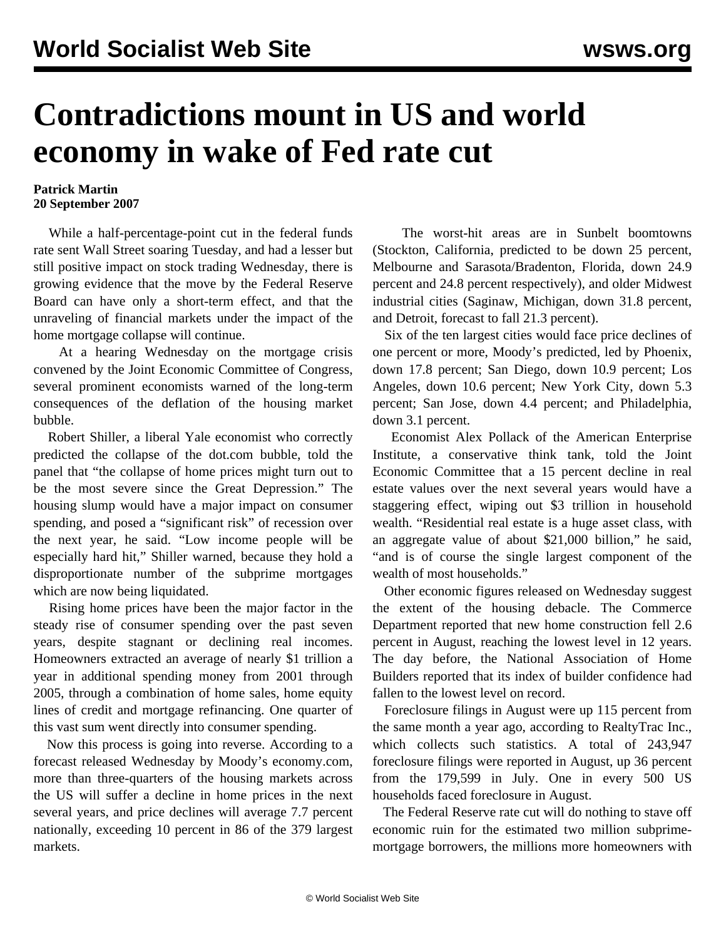## **Contradictions mount in US and world economy in wake of Fed rate cut**

## **Patrick Martin 20 September 2007**

 While a half-percentage-point cut in the federal funds rate sent Wall Street soaring Tuesday, and had a lesser but still positive impact on stock trading Wednesday, there is growing evidence that the move by the Federal Reserve Board can have only a short-term effect, and that the unraveling of financial markets under the impact of the home mortgage collapse will continue.

 At a hearing Wednesday on the mortgage crisis convened by the Joint Economic Committee of Congress, several prominent economists warned of the long-term consequences of the deflation of the housing market bubble.

 Robert Shiller, a liberal Yale economist who correctly predicted the collapse of the dot.com bubble, told the panel that "the collapse of home prices might turn out to be the most severe since the Great Depression." The housing slump would have a major impact on consumer spending, and posed a "significant risk" of recession over the next year, he said. "Low income people will be especially hard hit," Shiller warned, because they hold a disproportionate number of the subprime mortgages which are now being liquidated.

 Rising home prices have been the major factor in the steady rise of consumer spending over the past seven years, despite stagnant or declining real incomes. Homeowners extracted an average of nearly \$1 trillion a year in additional spending money from 2001 through 2005, through a combination of home sales, home equity lines of credit and mortgage refinancing. One quarter of this vast sum went directly into consumer spending.

 Now this process is going into reverse. According to a forecast released Wednesday by Moody's economy.com, more than three-quarters of the housing markets across the US will suffer a decline in home prices in the next several years, and price declines will average 7.7 percent nationally, exceeding 10 percent in 86 of the 379 largest markets.

 The worst-hit areas are in Sunbelt boomtowns (Stockton, California, predicted to be down 25 percent, Melbourne and Sarasota/Bradenton, Florida, down 24.9 percent and 24.8 percent respectively), and older Midwest industrial cities (Saginaw, Michigan, down 31.8 percent, and Detroit, forecast to fall 21.3 percent).

 Six of the ten largest cities would face price declines of one percent or more, Moody's predicted, led by Phoenix, down 17.8 percent; San Diego, down 10.9 percent; Los Angeles, down 10.6 percent; New York City, down 5.3 percent; San Jose, down 4.4 percent; and Philadelphia, down 3.1 percent.

 Economist Alex Pollack of the American Enterprise Institute, a conservative think tank, told the Joint Economic Committee that a 15 percent decline in real estate values over the next several years would have a staggering effect, wiping out \$3 trillion in household wealth. "Residential real estate is a huge asset class, with an aggregate value of about \$21,000 billion," he said, "and is of course the single largest component of the wealth of most households."

 Other economic figures released on Wednesday suggest the extent of the housing debacle. The Commerce Department reported that new home construction fell 2.6 percent in August, reaching the lowest level in 12 years. The day before, the National Association of Home Builders reported that its index of builder confidence had fallen to the lowest level on record.

 Foreclosure filings in August were up 115 percent from the same month a year ago, according to RealtyTrac Inc., which collects such statistics. A total of 243,947 foreclosure filings were reported in August, up 36 percent from the 179,599 in July. One in every 500 US households faced foreclosure in August.

 The Federal Reserve rate cut will do nothing to stave off economic ruin for the estimated two million subprimemortgage borrowers, the millions more homeowners with